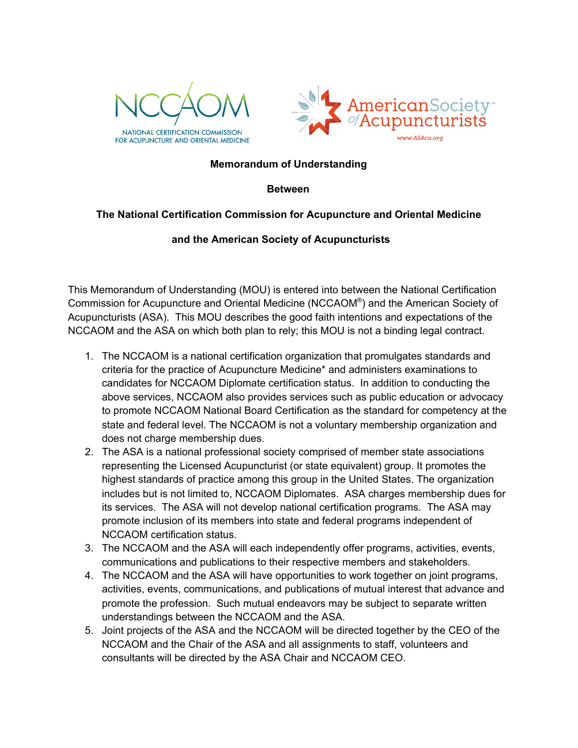



## **Memorandum of Understanding**

## **Between**

## **The National Certification Commission for Acupuncture and Oriental Medicine**

## **and the American Society of Acupuncturists**

This Memorandum of Understanding (MOU) is entered into between the National Certification Commission for Acupuncture and Oriental Medicine (NCCAOM® ) and the American Society of Acupuncturists (ASA). This MOU describes the good faith intentions and expectations of the NCCAOM and the ASA on which both plan to rely; this MOU is not a binding legal contract.

- 1. The NCCAOM is a national certification organization that promulgates standards and criteria for the practice of Acupuncture Medicine\* and administers examinations to candidates for NCCAOM Diplomate certification status. In addition to conducting the above services, NCCAOM also provides services such as public education or advocacy to promote NCCAOM National Board Certification as the standard for competency at the state and federal level. The NCCAOM is not a voluntary membership organization and does not charge membership dues.
- 2. The ASA is a national professional society comprised of member state associations representing the Licensed Acupuncturist (or state equivalent) group. It promotes the highest standards of practice among this group in the United States. The organization includes but is not limited to, NCCAOM Diplomates. ASA charges membership dues for its services. The ASA will not develop national certification programs. The ASA may promote inclusion of its members into state and federal programs independent of NCCAOM certification status.
- 3. The NCCAOM and the ASA will each independently offer programs, activities, events, communications and publications to their respective members and stakeholders.
- 4. The NCCAOM and the ASA will have opportunities to work together on joint programs, activities, events, communications, and publications of mutual interest that advance and promote the profession. Such mutual endeavors may be subject to separate written understandings between the NCCAOM and the ASA.
- 5. Joint projects of the ASA and the NCCAOM will be directed together by the CEO of the NCCAOM and the Chair of the ASA and all assignments to staff, volunteers and consultants will be directed by the ASA Chair and NCCAOM CEO.